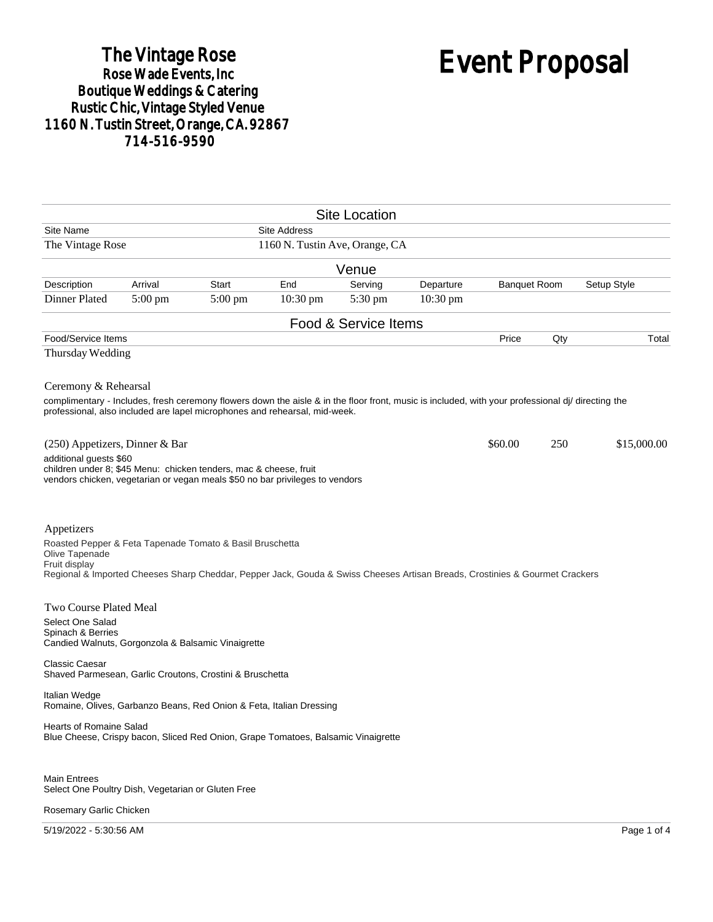## The Vintage Rose<br>Rose Wade Events, Inc Boutique Weddings & Catering<br>Rustic Chic, Vintage Styled Venue 1160 N. Tustin Street, Orange, CA. 92867 714-516-9590

# Event Proposal

|                                                                                                                                                                                                                                                         |         |         |                                | <b>Site Location</b> |            |                     |     |             |
|---------------------------------------------------------------------------------------------------------------------------------------------------------------------------------------------------------------------------------------------------------|---------|---------|--------------------------------|----------------------|------------|---------------------|-----|-------------|
| Site Name                                                                                                                                                                                                                                               |         |         | <b>Site Address</b>            |                      |            |                     |     |             |
| The Vintage Rose                                                                                                                                                                                                                                        |         |         | 1160 N. Tustin Ave, Orange, CA |                      |            |                     |     |             |
|                                                                                                                                                                                                                                                         |         |         |                                | Venue                |            |                     |     |             |
| Description                                                                                                                                                                                                                                             | Arrival | Start   | End                            | Serving              | Departure  | <b>Banquet Room</b> |     | Setup Style |
| Dinner Plated                                                                                                                                                                                                                                           | 5:00 pm | 5:00 pm | $10:30$ pm                     | 5:30 pm              | $10:30$ pm |                     |     |             |
|                                                                                                                                                                                                                                                         |         |         |                                | Food & Service Items |            |                     |     |             |
| Food/Service Items                                                                                                                                                                                                                                      |         |         |                                |                      |            | Price               | Qty | Total       |
| Thursday Wedding                                                                                                                                                                                                                                        |         |         |                                |                      |            |                     |     |             |
| Ceremony & Rehearsal<br>complimentary - Includes, fresh ceremony flowers down the aisle & in the floor front, music is included, with your professional di/ directing the<br>professional, also included are lapel microphones and rehearsal, mid-week. |         |         |                                |                      |            |                     |     |             |
| $(250)$ Appetizers, Dinner & Bar<br>additional quests \$60                                                                                                                                                                                              |         |         |                                |                      |            | \$60.00             | 250 | \$15,000.00 |
| children under 8; \$45 Menu: chicken tenders, mac & cheese, fruit<br>vendors chicken, vegetarian or vegan meals \$50 no bar privileges to vendors                                                                                                       |         |         |                                |                      |            |                     |     |             |
| Appetizers<br>Roasted Pepper & Feta Tapenade Tomato & Basil Bruschetta<br>Olive Tapenade<br>Fruit display<br>Regional & Imported Cheeses Sharp Cheddar, Pepper Jack, Gouda & Swiss Cheeses Artisan Breads, Crostinies & Gourmet Crackers                |         |         |                                |                      |            |                     |     |             |
| Two Course Plated Meal<br>Select One Salad<br>Spinach & Berries<br>Candied Walnuts, Gorgonzola & Balsamic Vinaigrette                                                                                                                                   |         |         |                                |                      |            |                     |     |             |
| <b>Classic Caesar</b><br>Shaved Parmesean, Garlic Croutons, Crostini & Bruschetta                                                                                                                                                                       |         |         |                                |                      |            |                     |     |             |
| Italian Wedge<br>Romaine, Olives, Garbanzo Beans, Red Onion & Feta, Italian Dressing                                                                                                                                                                    |         |         |                                |                      |            |                     |     |             |
| Hearts of Romaine Salad<br>Blue Cheese, Crispy bacon, Sliced Red Onion, Grape Tomatoes, Balsamic Vinaigrette                                                                                                                                            |         |         |                                |                      |            |                     |     |             |
| <b>Main Entrees</b><br>Select One Poultry Dish, Vegetarian or Gluten Free<br>Rosemary Garlic Chicken                                                                                                                                                    |         |         |                                |                      |            |                     |     |             |

5/19/2022 - 5:30:56 AM Page 1 of 4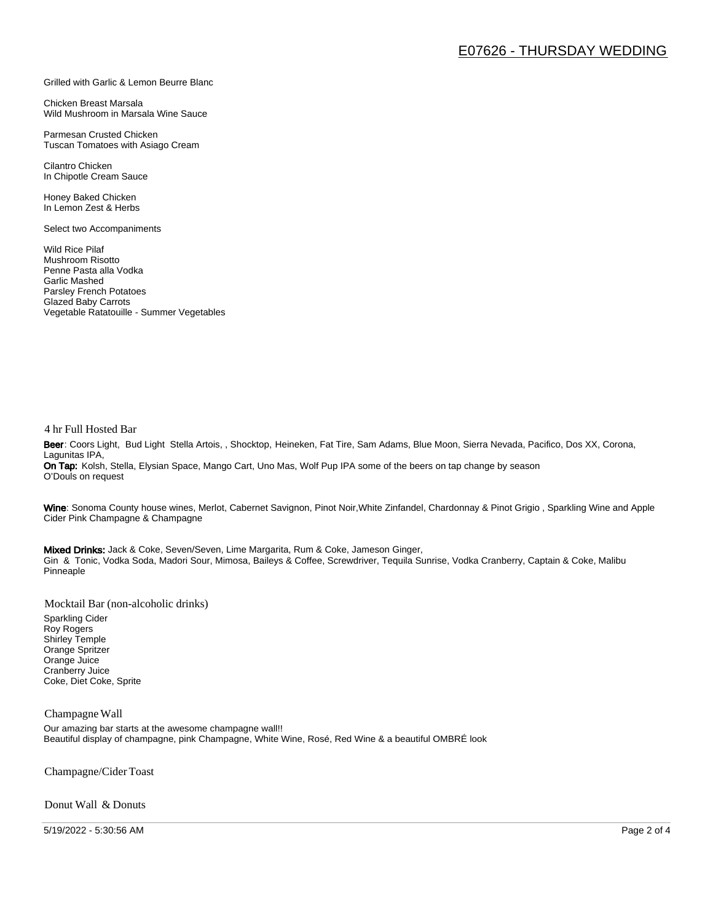#### Grilled with Garlic & Lemon Beurre Blanc

Chicken Breast Marsala Wild Mushroom in Marsala Wine Sauce

Parmesan Crusted Chicken Tuscan Tomatoes with Asiago Cream

Cilantro Chicken In Chipotle Cream Sauce

Honey Baked Chicken In Lemon Zest & Herbs

Select two Accompaniments

Wild Rice Pilaf Mushroom Risotto Penne Pasta alla Vodka Garlic Mashed Parsley French Potatoes Glazed Baby Carrots Vegetable Ratatouille - Summer Vegetables

#### 4 hr Full Hosted Bar

Beer: Coors Light, Bud Light Stella Artois, , Shocktop, Heineken, Fat Tire, Sam Adams, Blue Moon, Sierra Nevada, Pacifico, Dos XX, Corona, Lagunitas IPA, On Tap: Kolsh, Stella, Elysian Space, Mango Cart, Uno Mas, Wolf Pup IPA some of the beers on tap change by season O'Douls on request

Wine: Sonoma County house wines, Merlot, Cabernet Savignon, Pinot Noir, White Zinfandel, Chardonnay & Pinot Grigio, Sparkling Wine and Apple Cider Pink Champagne & Champagne

Mixed Drinks: Jack & Coke, Seven/Seven, Lime Margarita, Rum & Coke, Jameson Ginger, Gin & Tonic, Vodka Soda, Madori Sour, Mimosa, Baileys & Coffee, Screwdriver, Tequila Sunrise, Vodka Cranberry, Captain & Coke, Malibu Pinneaple

Mocktail Bar (non-alcoholic drinks)

Sparkling Cider Roy Rogers Shirley Temple Orange Spritzer Orange Juice Cranberry Juice Coke, Diet Coke, Sprite

#### Champagne Wall

Our amazing bar starts at the awesome champagne wall!! Beautiful display of champagne, pink Champagne, White Wine, Rosé, Red Wine & a beautiful OMBRÉ look

Champagne/Cider Toast

Donut Wall & Donuts

5/19/2022 - 5:30:56 AM Page 2 of 4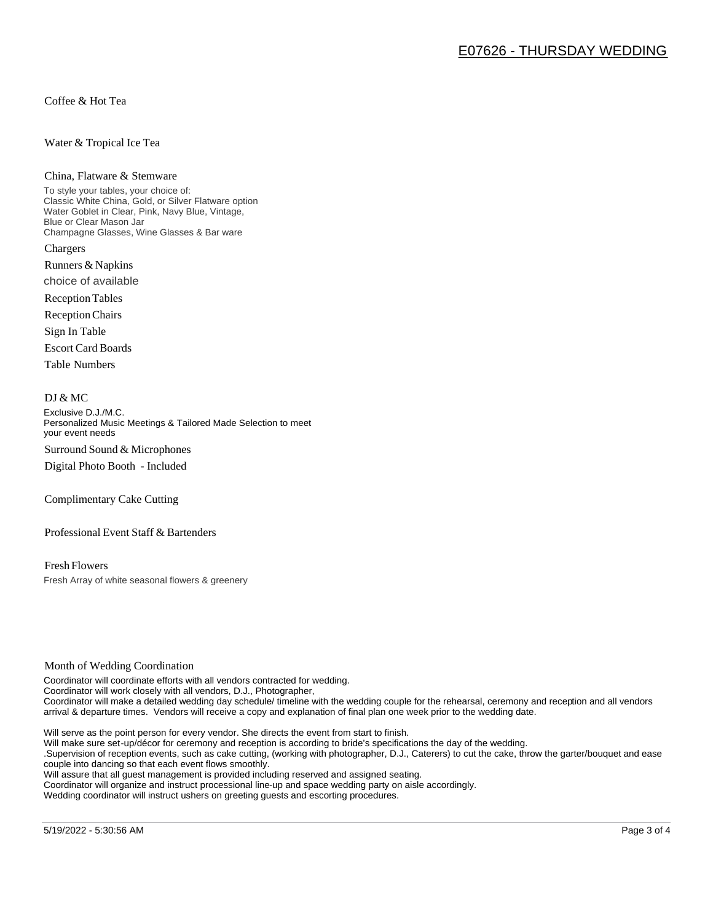Coffee & Hot Tea

#### Water & Tropical Ice Tea

#### China, Flatware & Stemware

To style your tables, your choice of: Classic White China, Gold, or Silver Flatware option Water Goblet in Clear, Pink, Navy Blue, Vintage, Blue or Clear Mason Jar Champagne Glasses, Wine Glasses & Bar ware Chargers

Runners & Napkins choice of available

Reception Tables

Reception Chairs

Sign In Table

Escort Card Boards

Table Numbers

#### DJ & MC

Exclusive D.J./M.C. Personalized Music Meetings & Tailored Made Selection to meet your event needs Surround Sound & Microphones

Digital Photo Booth - Included

Complimentary Cake Cutting

Professional Event Staff & Bartenders

Fresh Flowers Fresh Array of white seasonal flowers & greenery

#### Month of Wedding Coordination

Coordinator will coordinate efforts with all vendors contracted for wedding. Coordinator will work closely with all vendors, D.J., Photographer, Coordinator will make a detailed wedding day schedule/ timeline with the wedding couple for the rehearsal, ceremony and reception and all vendors arrival & departure times. Vendors will receive a copy and explanation of final plan one week prior to the wedding date.

Will serve as the point person for every vendor. She directs the event from start to finish.

Will make sure set-up/décor for ceremony and reception is according to bride's specifications the day of the wedding.

.Supervision of reception events, such as cake cutting, (working with photographer, D.J., Caterers) to cut the cake, throw the garter/bouquet and ease couple into dancing so that each event flows smoothly.

Will assure that all guest management is provided including reserved and assigned seating.

Coordinator will organize and instruct processional line-up and space wedding party on aisle accordingly.

Wedding coordinator will instruct ushers on greeting guests and escorting procedures.